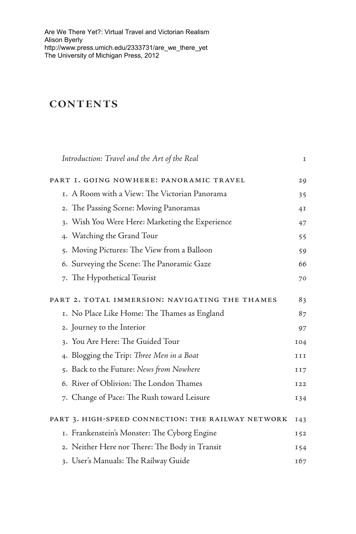[Are We There Yet?: Virtual Travel and Victorian Realism](http://www.press.umich.edu/2333731/are_we_there_yet)  Alison Byerly http://www.press.umich.edu/2333731/are\_we\_there\_yet The University of Michigan Press, 2012

## **Contents**

| Introduction: Travel and the Art of the Real       | I   |
|----------------------------------------------------|-----|
| PART I. GOING NOWHERE: PANORAMIC TRAVEL            | 29  |
| 1. A Room with a View: The Victorian Panorama      | 35  |
| 2. The Passing Scene: Moving Panoramas             | 4I  |
| 3. Wish You Were Here: Marketing the Experience    | 47  |
| 4. Watching the Grand Tour                         | 55  |
| 5. Moving Pictures: The View from a Balloon        | 59  |
| 6. Surveying the Scene: The Panoramic Gaze         | 66  |
| 7. The Hypothetical Tourist                        | 70  |
| PART 2. TOTAL IMMERSION: NAVIGATING THE THAMES     | 83  |
| 1. No Place Like Home: The Thames as England       | 87  |
| 2. Journey to the Interior                         | 97  |
| 3. You Are Here: The Guided Tour                   | 104 |
| 4. Blogging the Trip: Three Men in a Boat          | III |
| 5. Back to the Future: News from Nowhere           | II7 |
| 6. River of Oblivion: The London Thames            | I22 |
| 7. Change of Pace: The Rush toward Leisure         | I34 |
| PART 3. HIGH-SPEED CONNECTION: THE RAILWAY NETWORK | I43 |
| I. Frankenstein's Monster: The Cyborg Engine       | I52 |
| 2. Neither Here nor There: The Body in Transit     | I54 |
| 3. User's Manuals: The Railway Guide               | 167 |